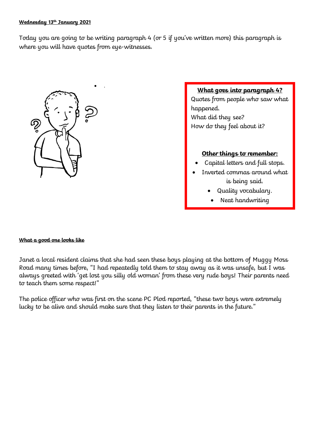## **Wednesday 13th January 2021**

Today you are going to be writing paragraph 4 (or 5 if you've written more) this paragraph is where you will have quotes from eye-witnesses.



## **What goes into paragraph 4?**

Quotes from people who saw what happened. What did they see? How do they feel about it?

## **Other things to remember:**

- Capital letters and full stops.
- Inverted commas around what is being said.
	- Quality vocabulary.
	- Neat handwriting

## **What a good one looks like**

Janet a local resident claims that she had seen these boys playing at the bottom of Muggy Moss Road many times before, "I had repeatedly told them to stay away as it was unsafe, but I was always greeted with 'get lost you silly old woman' from these very rude boys! Their parents need to teach them some respect!"

The police officer who was first on the scene PC Plod reported, "these two boys were extremely lucky to be alive and should make sure that they listen to their parents in the future."